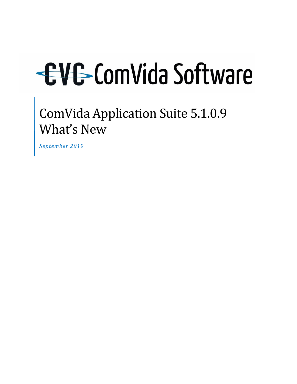ComVida Application Suite 5.1.0.9 What's New

*September 2019*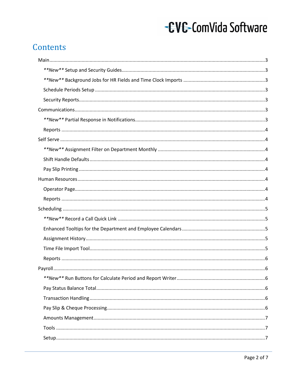# Contents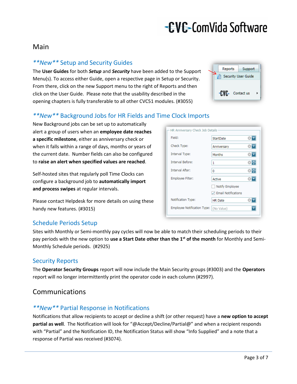### <span id="page-2-0"></span>Main

### <span id="page-2-1"></span>*\*\*New\*\** Setup and Security Guides

The **User Guides** for both *Setup* and *Security* have been added to the Support Menu(s). To access either Guide, open a respective page in Setup or Security. From there, click on the new Support menu to the right of Reports and then click on the User Guide. Please note that the usability described in the opening chapters is fully transferable to all other CVC51 modules. (#3055)



### <span id="page-2-2"></span>*\*\*New\*\** Background Jobs for HR Fields and Time Clock Imports

New Background jobs can be set up to automatically alert a group of users when an **employee date reaches a specific milestone**, either as anniversary check or when it falls within a range of days, months or years of the current date. Number fields can also be configured to **raise an alert when specified values are reached**.

Self-hosted sites that regularly poll Time Clocks can configure a background job to **automatically import and process swipes** at regular intervals.

Please contact Helpdesk for more details on using these handy new features. (#3015)

### <span id="page-2-3"></span>Schedule Periods Setup

Sites with Monthly or Semi-monthly pay cycles will now be able to match their scheduling periods to their pay periods with the new option to **use a Start Date other than the 1st of the month** for Monthly and Semi-Monthly Schedule periods. (#2925)

### <span id="page-2-4"></span>Security Reports

The **Operator Security Groups** report will now include the Main Security groups (#3003) and the **Operators** report will no longer intermittently print the operator code in each column (#2997).

### <span id="page-2-5"></span>Communications

### <span id="page-2-6"></span>*\*\*New\*\** Partial Response in Notifications

Notifications that allow recipients to accept or decline a shift (or other request) have a **new option to accept partial as well**. The Notification will look for "@Accept/Decline/Partial@" and when a recipient responds with "Partial" and the Notification ID, the Notification Status will show "Info Supplied" and a note that a response of Partial was received (#3074).

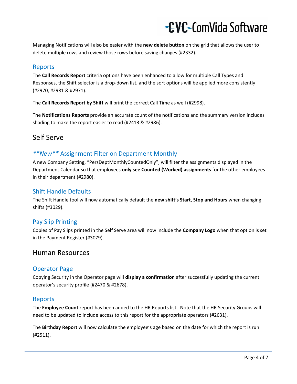Managing Notifications will also be easier with the **new delete button** on the grid that allows the user to delete multiple rows and review those rows before saving changes (#2332).

#### <span id="page-3-0"></span>Reports

The **Call Records Report** criteria options have been enhanced to allow for multiple Call Types and Responses, the Shift selector is a drop-down list, and the sort options will be applied more consistently (#2970, #2981 & #2971).

The **Call Records Report by Shift** will print the correct Call Time as well (#2998).

The **Notifications Reports** provide an accurate count of the notifications and the summary version includes shading to make the report easier to read (#2413 & #2986).

### <span id="page-3-1"></span>Self Serve

### <span id="page-3-2"></span>*\*\*New\*\** Assignment Filter on Department Monthly

A new Company Setting, "PersDeptMonthlyCountedOnly", will filter the assignments displayed in the Department Calendar so that employees **only see Counted (Worked) assignments** for the other employees in their department (#2980).

### <span id="page-3-3"></span>Shift Handle Defaults

The Shift Handle tool will now automatically default the **new shift's Start, Stop and Hours** when changing shifts (#3029).

### <span id="page-3-4"></span>Pay Slip Printing

Copies of Pay Slips printed in the Self Serve area will now include the **Company Logo** when that option is set in the Payment Register (#3079).

### <span id="page-3-5"></span>Human Resources

### <span id="page-3-6"></span>Operator Page

Copying Security in the Operator page will **display a confirmation** after successfully updating the current operator's security profile (#2470 & #2678).

#### <span id="page-3-7"></span>Reports

The **Employee Count** report has been added to the HR Reports list. Note that the HR Security Groups will need to be updated to include access to this report for the appropriate operators (#2631).

The **Birthday Report** will now calculate the employee's age based on the date for which the report is run (#2511).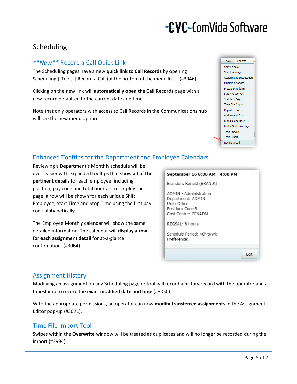## <span id="page-4-0"></span>Scheduling

### <span id="page-4-1"></span>*\*\*New\*\** Record a Call Quick Link

The Scheduling pages have a new **quick link to Call Records** by opening Scheduling | Tools | Record a Call (at the bottom of the menu list). (#3046)

Clicking on the new link will **automatically open the Call Records** page with a new record defaulted to the current date and time.

Note that only operators with access to Call Records in the Communications hub will see the new menu option.



### <span id="page-4-2"></span>Enhanced Tooltips for the Department and Employee Calendars

Reviewing a Department's Monthly schedule will be even easier with expanded tooltips that show **all of the pertinent details** for each employee, including position, pay code and total hours. To simplify the page, a row will be shown for each unique Shift, Employee, Start Time and Stop Time using the first pay code alphabetically.

The Employee Monthly calendar will show the same detailed information. The calendar will **display a row for each assignment detail** for at-a-glance confirmation. (#3064)

### September 16 8:00 AM - 4:00 PM Brandon, Ronald (BRAN,R) ADMIN - Administration Department: ADMIN Unit: Office Position: Coor-B Cost Centre: CENADM REGSAL: 8 hours Schedule Period: 40hrs/wk Preference:

### <span id="page-4-3"></span>Assignment History

Modifying an assignment on any Scheduling page or tool will record a history record with the operator and a timestamp to record the **exact modified date and time** (#3050).

With the appropriate permissions, an operator can now **modify transferred assignments** in the Assignment Editor pop-up (#3071).

### <span id="page-4-4"></span>Time File Import Tool

Swipes within the **Overwrite** window will be treated as duplicates and will no longer be recorded during the import (#2994).

Edit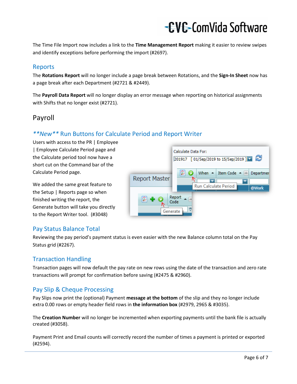The Time File Import now includes a link to the **Time Management Report** making it easier to review swipes and identify exceptions before performing the import (#2697).

### <span id="page-5-0"></span>Reports

The **Rotations Report** will no longer include a page break between Rotations, and the **Sign-In Sheet** now has a page break after each Department (#2721 & #2449).

The **Payroll Data Report** will no longer display an error message when reporting on historical assignments with Shifts that no longer exist (#2721).

### <span id="page-5-1"></span>Payroll

### <span id="page-5-2"></span>*\*\*New\*\** Run Buttons for Calculate Period and Report Writer

Users with access to the PR | Employee | Employee Calculate Period page and the Calculate period tool now have a short cut on the Command bar of the Calculate Period page.

We added the same great feature to the Setup | Reports page so when finished writing the report, the Generate button will take you directly to the Report Writer tool. (#3048)



### <span id="page-5-3"></span>Pay Status Balance Total

Reviewing the pay period's payment status is even easier with the new Balance column total on the Pay Status grid (#2267).

### <span id="page-5-4"></span>Transaction Handling

Transaction pages will now default the pay rate on new rows using the date of the transaction and zero rate transactions will prompt for confirmation before saving (#2475 & #2960).

### <span id="page-5-5"></span>Pay Slip & Cheque Processing

Pay Slips now print the (optional) Payment **message at the bottom** of the slip and they no longer include extra 0.00 rows or empty header field rows in **the information box** (#2979, 2965 & #3035).

The **Creation Number** will no longer be incremented when exporting payments until the bank file is actually created (#3058).

Payment Print and Email counts will correctly record the number of times a payment is printed or exported (#2594).